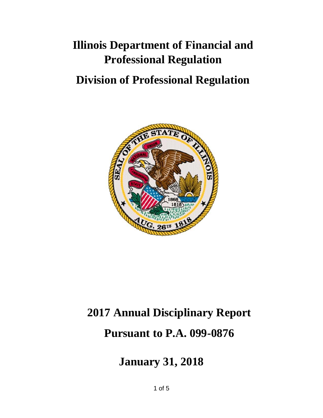## **Illinois Department of Financial and Professional Regulation**

## **Division of Professional Regulation**



# **2017 Annual Disciplinary Report Pursuant to P.A. 099-0876**

**January 31, 2018**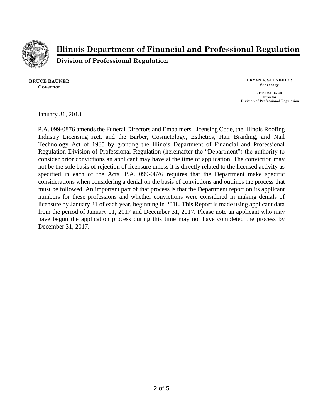

**Illinois Department of Financial and Professional Regulation**

**Division of Professional Regulation**

**BRUCE RAUNER Governor**

**BRYAN A. SCHNEIDER Secretary JESSICA BAER Director Division of Professional Regulation**

January 31, 2018

P.A. 099-0876 amends the Funeral Directors and Embalmers Licensing Code, the Illinois Roofing Industry Licensing Act, and the Barber, Cosmetology, Esthetics, Hair Braiding, and Nail Technology Act of 1985 by granting the Illinois Department of Financial and Professional Regulation Division of Professional Regulation (hereinafter the "Department") the authority to consider prior convictions an applicant may have at the time of application. The conviction may not be the sole basis of rejection of licensure unless it is directly related to the licensed activity as specified in each of the Acts. P.A. 099-0876 requires that the Department make specific considerations when considering a denial on the basis of convictions and outlines the process that must be followed. An important part of that process is that the Department report on its applicant numbers for these professions and whether convictions were considered in making denials of licensure by January 31 of each year, beginning in 2018. This Report is made using applicant data from the period of January 01, 2017 and December 31, 2017. Please note an applicant who may have begun the application process during this time may not have completed the process by December 31, 2017.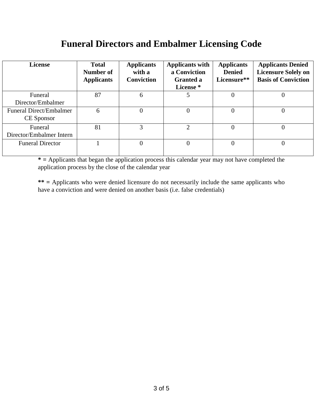#### **Funeral Directors and Embalmer Licensing Code**

| <b>License</b>           | <b>Total</b><br>Number of<br><b>Applicants</b> | <b>Applicants</b><br>with a<br><b>Conviction</b> | <b>Applicants with</b><br>a Conviction<br><b>Granted a</b><br>License * | <b>Applicants</b><br><b>Denied</b><br>Licensure** | <b>Applicants Denied</b><br><b>Licensure Solely on</b><br><b>Basis of Conviction</b> |
|--------------------------|------------------------------------------------|--------------------------------------------------|-------------------------------------------------------------------------|---------------------------------------------------|--------------------------------------------------------------------------------------|
| Funeral                  | 87                                             | 6                                                | 5                                                                       |                                                   | 0                                                                                    |
| Director/Embalmer        |                                                |                                                  |                                                                         |                                                   |                                                                                      |
| Funeral Direct/Embalmer  | 6                                              |                                                  | $\theta$                                                                |                                                   | 0                                                                                    |
| CE Sponsor               |                                                |                                                  |                                                                         |                                                   |                                                                                      |
| Funeral                  | 81                                             | 3                                                | $\mathcal{D}_{\mathcal{A}}$                                             | $\Omega$                                          | $\Omega$                                                                             |
| Director/Embalmer Intern |                                                |                                                  |                                                                         |                                                   |                                                                                      |
| <b>Funeral Director</b>  |                                                |                                                  | $\Omega$                                                                |                                                   | 0                                                                                    |
|                          |                                                |                                                  |                                                                         |                                                   |                                                                                      |

**\* =** Applicants that began the application process this calendar year may not have completed the application process by the close of the calendar year

**\*\* =** Applicants who were denied licensure do not necessarily include the same applicants who have a conviction and were denied on another basis (i.e. false credentials)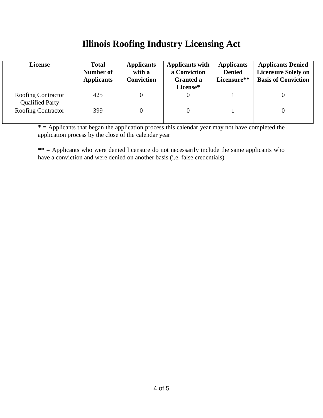#### **Illinois Roofing Industry Licensing Act**

| <b>License</b>                                      | <b>Total</b><br>Number of<br><b>Applicants</b> | <b>Applicants</b><br>with a<br><b>Conviction</b> | <b>Applicants with</b><br>a Conviction<br><b>Granted a</b><br>License* | <b>Applicants</b><br><b>Denied</b><br>Licensure** | <b>Applicants Denied</b><br><b>Licensure Solely on</b><br><b>Basis of Conviction</b> |
|-----------------------------------------------------|------------------------------------------------|--------------------------------------------------|------------------------------------------------------------------------|---------------------------------------------------|--------------------------------------------------------------------------------------|
| <b>Roofing Contractor</b><br><b>Qualified Party</b> | 425                                            |                                                  | 0                                                                      |                                                   |                                                                                      |
| <b>Roofing Contractor</b>                           | 399                                            |                                                  |                                                                        |                                                   |                                                                                      |

**\* =** Applicants that began the application process this calendar year may not have completed the application process by the close of the calendar year

**\*\* =** Applicants who were denied licensure do not necessarily include the same applicants who have a conviction and were denied on another basis (i.e. false credentials)